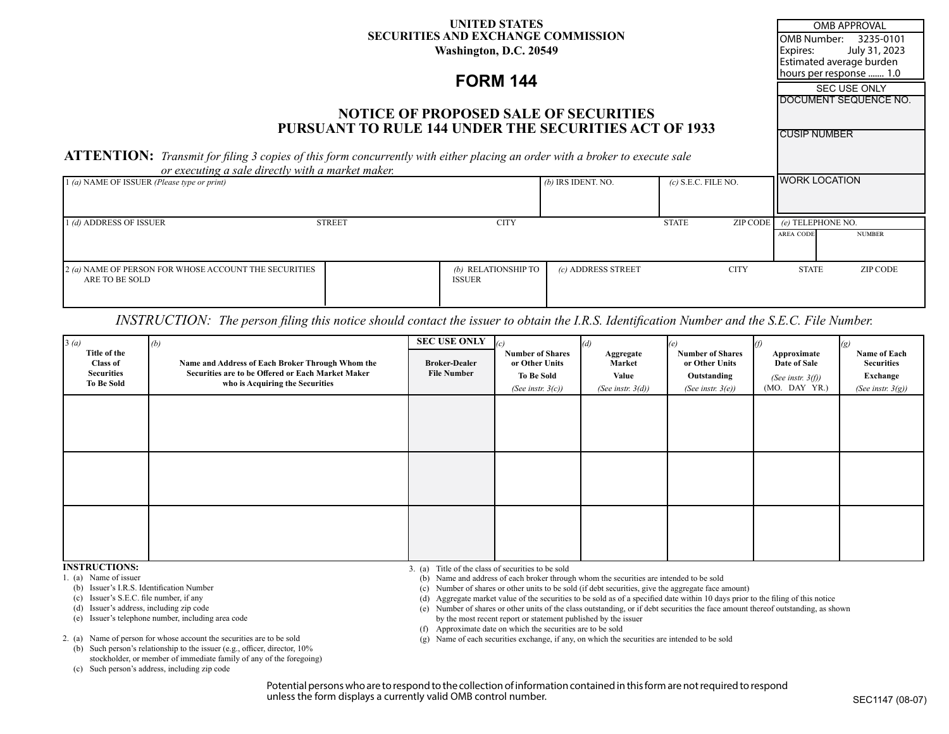### **UNITED STATES SECURITIES AND EXCHANGE COMMISSION Washington, D.C. 20549**

# **FORM 144**

## **NOTICE OF PROPOSED SALE OF SECURITIES PURSUANT TO RULE 144 UNDER THE SECURITIES ACT OF 1933**

**ATTENTION:** *Transmit for filing 3 copies of this form concurrently with either placing an order with a broker to execute sale or executing a sale directly with a market maker.*

| or executing a sale atrectly with a market maker.                       |               |                                      |                      |                          |                  |                       |  |
|-------------------------------------------------------------------------|---------------|--------------------------------------|----------------------|--------------------------|------------------|-----------------------|--|
| $(1(a)$ NAME OF ISSUER (Please type or print)                           |               |                                      | $(b)$ IRS IDENT. NO. | $(c)$ S.E.C. FILE NO.    |                  | <b>HWORK LOCATION</b> |  |
| 1 <i>(d)</i> ADDRESS OF ISSUER                                          | <b>STREET</b> | <b>CITY</b>                          |                      | ZIP CODE<br><b>STATE</b> |                  | (e) TELEPHONE NO.     |  |
|                                                                         |               |                                      |                      |                          | <b>AREA CODE</b> | <b>NUMBER</b>         |  |
| 2 (a) NAME OF PERSON FOR WHOSE ACCOUNT THE SECURITIES<br>ARE TO BE SOLD |               | (b) RELATIONSHIP TO<br><b>ISSUER</b> | (c) ADDRESS STREET   | <b>CITY</b>              | <b>STATE</b>     | ZIP CODE              |  |

## *INSTRUCTION: The person filing this notice should contact the issuer to obtain the I.R.S. Identification Number and the S.E.C. File Number.*

| 3(a)<br>Title of the<br><b>Class of</b><br><b>Securities</b><br><b>To Be Sold</b> | (b)<br>Name and Address of Each Broker Through Whom the<br>Securities are to be Offered or Each Market Maker<br>who is Acquiring the Securities | <b>SEC USE ONLY</b><br><b>Broker-Dealer</b><br><b>File Number</b> | <b>Number of Shares</b><br>or Other Units<br><b>To Be Sold</b><br>(See instr. $3(c)$ ) | (d)<br>Aggregate<br>Market<br>Value<br>(See instr. $3(d)$ ) | <b>Number of Shares</b><br>or Other Units<br>Outstanding<br>(See instr. $3(e)$ ) | Approximate<br>Date of Sale<br>(See instr. $3(f)$ )<br>$(MO.$ DAY YR.) | $\left(g\right)$<br>Name of Each<br><b>Securities</b><br>Exchange<br>(See instr. $3(g)$ ) |
|-----------------------------------------------------------------------------------|-------------------------------------------------------------------------------------------------------------------------------------------------|-------------------------------------------------------------------|----------------------------------------------------------------------------------------|-------------------------------------------------------------|----------------------------------------------------------------------------------|------------------------------------------------------------------------|-------------------------------------------------------------------------------------------|
|                                                                                   |                                                                                                                                                 |                                                                   |                                                                                        |                                                             |                                                                                  |                                                                        |                                                                                           |
|                                                                                   |                                                                                                                                                 |                                                                   |                                                                                        |                                                             |                                                                                  |                                                                        |                                                                                           |
|                                                                                   |                                                                                                                                                 |                                                                   |                                                                                        |                                                             |                                                                                  |                                                                        |                                                                                           |

- 1. (a) Name of issuer
- (b) Issuer's I.R.S. Identification Number
- (c) Issuer's S.E.C. file number, if any
- (d) Issuer's address, including zip code

(e) Issuer's telephone number, including area code

2. (a) Name of person for whose account the securities are to be sold

- (b) Such person's relationship to the issuer (e.g., officer, director, 10% stockholder, or member of immediate family of any of the foregoing)
- (c) Such person's address, including zip code

**INSTRUCTIONS:** 3. (a) Title of the class of securities to be sold

1. (a) Name of issuer (b) Name and address of each broker through whom the securities are intended to be sold

(b) Issuer's I.R.S. Identification Number content and the solution Number of shares or other units to be sold (if debt securities, give the aggregate face amount)

(c) Issuer's S.E.C. file number, if any the security and the securities to be sold as of a specified date within 10 days prior to the filing of this notice

(d) Issuer's address, including zip code **Exercices** (e) Number of shares or other units of the class outstanding, or if debt securities the face amount thereof outstanding, as shown (e) Issuer's telephone number, including area code by the most recent report or statement published by the issuer

 (f) Approximate date on which the securities are to be sold

2. (a) Name of person for whose account the securities are to be sold (g) Name of each securities exchange, if any, on which the securities are intended to be sold

Potential persons who are to respond to the collection of information contained in this form are not required to respond unless the form displays a currently valid OMB control number.<br>SEC1147 (08-07)

OMB APPROVAL

OMB Number: 3235-0101 Expires: July 31, 2023 Estimated average burden hours per response ....... 1.0

**SEC USE ONLY** DOCUMENT SEQUENCE NO.

CUSIP NUMBER